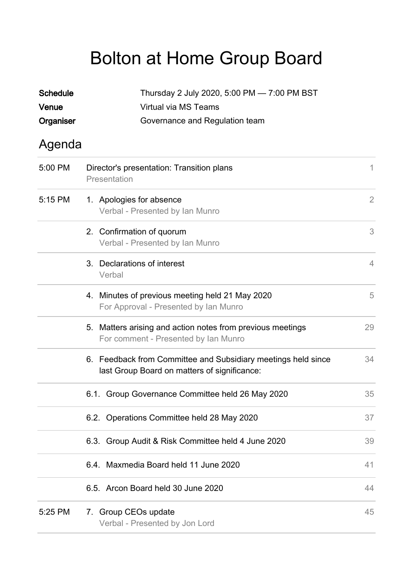## Bolton at Home Group Board

| <b>Schedule</b><br>Venue<br>Organiser | Thursday 2 July 2020, 5:00 PM - 7:00 PM BST<br>Virtual via MS Teams<br>Governance and Regulation team         |                |  |
|---------------------------------------|---------------------------------------------------------------------------------------------------------------|----------------|--|
| Agenda                                |                                                                                                               |                |  |
| 5:00 PM                               | Director's presentation: Transition plans<br>Presentation                                                     |                |  |
| 5:15 PM                               | 1. Apologies for absence<br>Verbal - Presented by Ian Munro                                                   | $\overline{2}$ |  |
|                                       | 2. Confirmation of quorum<br>Verbal - Presented by Ian Munro                                                  | 3              |  |
|                                       | 3. Declarations of interest<br>Verbal                                                                         | $\overline{4}$ |  |
|                                       | 4. Minutes of previous meeting held 21 May 2020<br>For Approval - Presented by Ian Munro                      | 5              |  |
|                                       | 5. Matters arising and action notes from previous meetings<br>For comment - Presented by Ian Munro            | 29             |  |
|                                       | 6. Feedback from Committee and Subsidiary meetings held since<br>last Group Board on matters of significance: | 34             |  |
|                                       | 6.1. Group Governance Committee held 26 May 2020                                                              | 35             |  |
|                                       | 6.2. Operations Committee held 28 May 2020                                                                    | 37             |  |
|                                       | 6.3. Group Audit & Risk Committee held 4 June 2020                                                            | 39             |  |
|                                       | 6.4. Maxmedia Board held 11 June 2020                                                                         | 41             |  |
|                                       | 6.5. Arcon Board held 30 June 2020                                                                            | 44             |  |
| 5:25 PM                               | 7. Group CEOs update<br>Verbal - Presented by Jon Lord                                                        |                |  |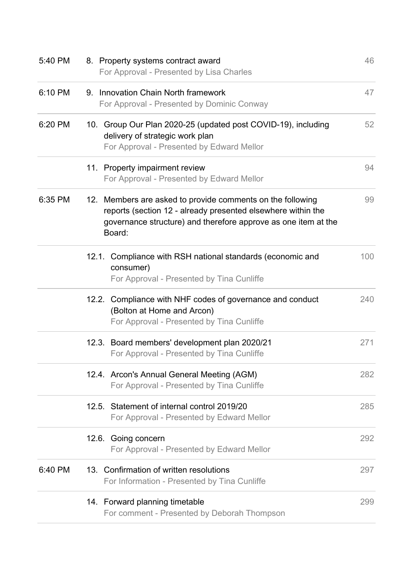| 5:40 PM | 8. Property systems contract award<br>For Approval - Presented by Lisa Charles                                                                                                                         | 46  |
|---------|--------------------------------------------------------------------------------------------------------------------------------------------------------------------------------------------------------|-----|
| 6:10 PM | 9. Innovation Chain North framework<br>For Approval - Presented by Dominic Conway                                                                                                                      | 47  |
| 6:20 PM | 10. Group Our Plan 2020-25 (updated post COVID-19), including<br>delivery of strategic work plan<br>For Approval - Presented by Edward Mellor                                                          | 52  |
|         | 11. Property impairment review<br>For Approval - Presented by Edward Mellor                                                                                                                            | 94  |
| 6:35 PM | 12. Members are asked to provide comments on the following<br>reports (section 12 - already presented elsewhere within the<br>governance structure) and therefore approve as one item at the<br>Board: | 99  |
|         | 12.1. Compliance with RSH national standards (economic and<br>consumer)<br>For Approval - Presented by Tina Cunliffe                                                                                   | 100 |
|         | 12.2. Compliance with NHF codes of governance and conduct<br>(Bolton at Home and Arcon)<br>For Approval - Presented by Tina Cunliffe                                                                   | 240 |
|         | 12.3. Board members' development plan 2020/21<br>For Approval - Presented by Tina Cunliffe                                                                                                             | 271 |
|         | 12.4. Arcon's Annual General Meeting (AGM)<br>For Approval - Presented by Tina Cunliffe                                                                                                                | 282 |
|         | 12.5. Statement of internal control 2019/20<br>For Approval - Presented by Edward Mellor                                                                                                               | 285 |
|         | 12.6. Going concern<br>For Approval - Presented by Edward Mellor                                                                                                                                       | 292 |
| 6:40 PM | 13. Confirmation of written resolutions<br>For Information - Presented by Tina Cunliffe                                                                                                                | 297 |
|         | 14. Forward planning timetable<br>For comment - Presented by Deborah Thompson                                                                                                                          | 299 |